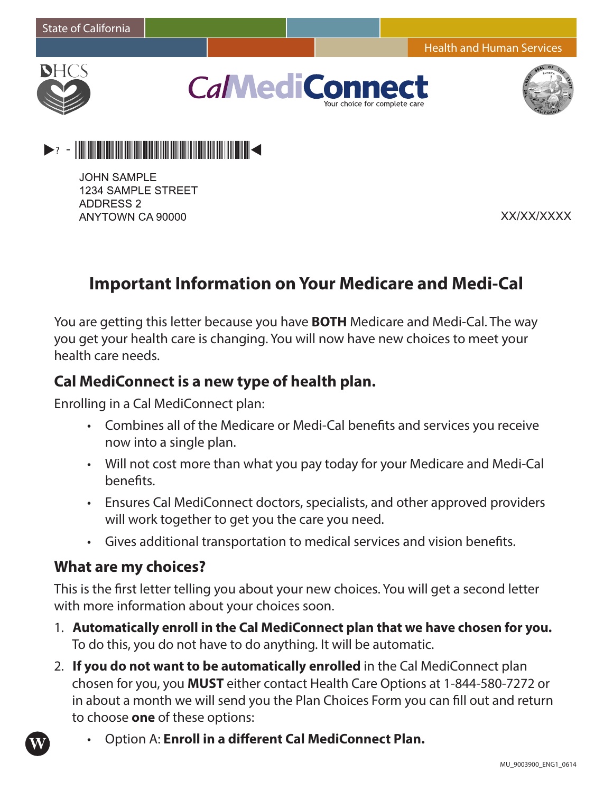

**CalMediCo** ir choice for complete ca



 $> 2 - 2$  . The contract of the contract of the contract of the contract of the contract of the contract of  $\sim$ 

**JOHN SAMPLE** 1234 SAMPLE STREET **ADDRESS 2** ANYTOWN CA 90000

XX/XX/XXXX

# **Important Information on Your Medicare and Medi-Cal**

You are getting this letter because you have **BOTH** Medicare and Medi-Cal. The way you get your health care is changing. You will now have new choices to meet your health care needs.

#### **Cal MediConnect is a new type of health plan.**

Enrolling in a Cal MediConnect plan:

- • Combines all of the Medicare or Medi-Cal benefits and services you receive now into a single plan.
- Will not cost more than what you pay today for your Medicare and Medi-Cal benefits.
- • Ensures Cal MediConnect doctors, specialists, and other approved providers will work together to get you the care you need.
- • Gives additional transportation to medical services and vision benefits.

#### **What are my choices?**

**W**

This is the first letter telling you about your new choices. You will get a second letter with more information about your choices soon.

- 1. **Automatically enroll in the Cal MediConnect plan that we have chosen for you.** To do this, you do not have to do anything. It will be automatic.
- 2. **If you do not want to be automatically enrolled** in the Cal MediConnect plan chosen for you, you **MUST** either contact Health Care Options at 1-844-580-7272 or in about a month we will send you the Plan Choices Form you can fill out and return to choose **one** of these options:
	- **Option A: Enroll in a different Cal MediConnect Plan.**